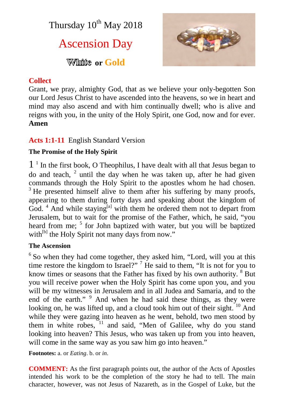Thursday  $10^{th}$  May 2018

# Ascension Day

**White** or Gold



#### **Collect**

Grant, we pray, almighty God, that as we believe your only-begotten Son our Lord Jesus Christ to have ascended into the heavens, so we in heart and mind may also ascend and with him continually dwell; who is alive and reigns with you, in the unity of the Holy Spirit, one God, now and for ever. **Amen**

## **Acts 1:1-11** English Standard Version

#### **The Promise of the Holy Spirit**

1 1 In the first book, O Theophilus, I have dealt with all that Jesus began to do and teach,  $2$  until the day when he was taken up, after he had given commands through the Holy Spirit to the apostles whom he had chosen. <sup>3</sup> He presented himself alive to them after his suffering by many proofs, appearing to them during forty days and speaking about the kingdom of God.<sup>4</sup> And while staying<sup>[a]</sup> with them he ordered them not to depart from Jerusalem, but to wait for the promise of the Father, which, he said, "you heard from me; <sup>5</sup> for John baptized with water, but you will be baptized with<sup>[b]</sup> the Holy Spirit not many days from now."

#### **The Ascension**

<sup>6</sup> So when they had come together, they asked him, "Lord, will you at this time restore the kingdom to Israel?"<sup>7</sup> He said to them, "It is not for you to know times or seasons that the Father has fixed by his own authority. <sup>8</sup> But you will receive power when the Holy Spirit has come upon you, and you will be my witnesses in Jerusalem and in all Judea and Samaria, and to the end of the earth." <sup>9</sup> And when he had said these things, as they were looking on, he was lifted up, and a cloud took him out of their sight.  $\frac{10}{10}$  And while they were gazing into heaven as he went, behold, two men stood by them in white robes, <sup>11</sup> and said, "Men of Galilee, why do you stand looking into heaven? This Jesus, who was taken up from you into heaven, will come in the same way as you saw him go into heaven."

**Footnotes:** a. or *Eating*. b. or *in*.

**COMMENT:** As the first paragraph points out, the author of the Acts of Apostles intended his work to be the completion of the story he had to tell. The main character, however, was not Jesus of Nazareth, as in the Gospel of Luke, but the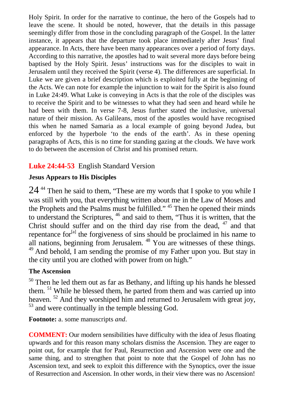Holy Spirit. In order for the narrative to continue, the hero of the Gospels had to leave the scene. It should be noted, however, that the details in this passage seemingly differ from those in the concluding paragraph of the Gospel. In the latter instance, it appears that the departure took place immediately after Jesus' final appearance. In Acts, there have been many appearances over a period of forty days. According to this narrative, the apostles had to wait several more days before being baptised by the Holy Spirit. Jesus' instructions was for the disciples to wait in Jerusalem until they received the Spirit (verse 4). The differences are superficial. In Luke we are given a brief description which is exploited fully at the beginning of the Acts. We can note for example the injunction to wait for the Spirit is also found in Luke 24:49. What Luke is conveying in Acts is that the role of the disciples was to receive the Spirit and to be witnesses to what they had seen and heard while he had been with them. In verse 7-8, Jesus further stated the inclusive, universal nature of their mission. As Galileans, most of the apostles would have recognised this when he named Samaria as a local example of going beyond Judea, but enforced by the hyperbole 'to the ends of the earth'. As in these opening paragraphs of Acts, this is no time for standing gazing at the clouds. We have work to do between the ascension of Christ and his promised return.

## **Luke 24:44-53** English Standard Version

#### **Jesus Appears to His Disciples**

 $24<sup>44</sup>$  Then he said to them, "These are my words that I spoke to you while I was still with you, that everything written about me in the Law of Moses and the Prophets and the Psalms must be fulfilled." <sup>45</sup> Then he opened their minds to understand the Scriptures, <sup>46</sup> and said to them, "Thus it is written, that the Christ should suffer and on the third day rise from the dead,  $47$  and that repentance for $[<sup>[a]</sup>$  the forgiveness of sins should be proclaimed in his name to all nations, beginning from Jerusalem. <sup>48</sup> You are witnesses of these things. <sup>49</sup> And behold, I am sending the promise of my Father upon you. But stay in the city until you are clothed with power from on high."

#### **The Ascension**

<sup>50</sup> Then he led them out as far as Bethany, and lifting up his hands he blessed them. <sup>51</sup> While he blessed them, he parted from them and was carried up into heaven.<sup>52</sup> And they worshiped him and returned to Jerusalem with great joy, <sup>53</sup> and were continually in the temple blessing God.

**Footnote:** a. some manuscripts *and*.

**COMMENT:** Our modern sensibilities have difficulty with the idea of Jesus floating upwards and for this reason many scholars dismiss the Ascension. They are eager to point out, for example that for Paul, Resurrection and Ascension were one and the same thing, and to strengthen that point to note that the Gospel of John has no Ascension text, and seek to exploit this difference with the Synoptics, over the issue of Resurrection and Ascension. In other words, in their view there was no Ascension!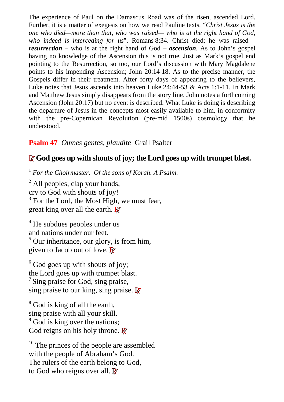The experience of Paul on the Damascus Road was of the risen, ascended Lord. Further, it is a matter of exegesis on how we read Pauline texts. "*Christ Jesus is the one who died—more than that, who was raised— who is at the right hand of God, who indeed is interceding for us*". Romans 8:34. Christ died; he was raised – *resurrection* – who is at the right hand of God – *ascension*. As to John's gospel having no knowledge of the Ascension this is not true. Just as Mark's gospel end pointing to the Resurrection, so too, our Lord's discussion with Mary Magdalene points to his impending Ascension; John 20:14-18. As to the precise manner, the Gospels differ in their treatment. After forty days of appearing to the believers, Luke notes that Jesus ascends into heaven Luke 24:44-53 & Acts 1:1-11. In Mark and Matthew Jesus simply disappears from the story line. John notes a forthcoming Ascension (John 20:17) but no event is described. What Luke is doing is describing the departure of Jesus in the concepts most easily available to him, in conformity with the pre-Copernican Revolution (pre-mid 1500s) cosmology that he understood.

# **Psalm 47** *Omnes gentes, plaudite* Grail Psalter

# **RGod goes up with shouts of joy; the Lord goes up with trumpet blast.**

<sup>1</sup> *For the Choirmaster. Of the sons of Korah. A Psalm.*

<sup>2</sup> All peoples, clap your hands, cry to God with shouts of joy!  $3$  For the Lord, the Most High, we must fear, great king over all the earth. **R**

<sup>4</sup> He subdues peoples under us and nations under our feet. <sup>5</sup> Our inheritance, our glory, is from him, given to Jacob out of love. **R**

 $6$  God goes up with shouts of joy; the Lord goes up with trumpet blast. <sup>7</sup> Sing praise for God, sing praise, sing praise to our king, sing praise. **R**

<sup>8</sup> God is king of all the earth, sing praise with all your skill. <sup>9</sup> God is king over the nations; God reigns on his holy throne. **R**

<sup>10</sup> The princes of the people are assembled with the people of Abraham's God. The rulers of the earth belong to God, to God who reigns over all. **R**